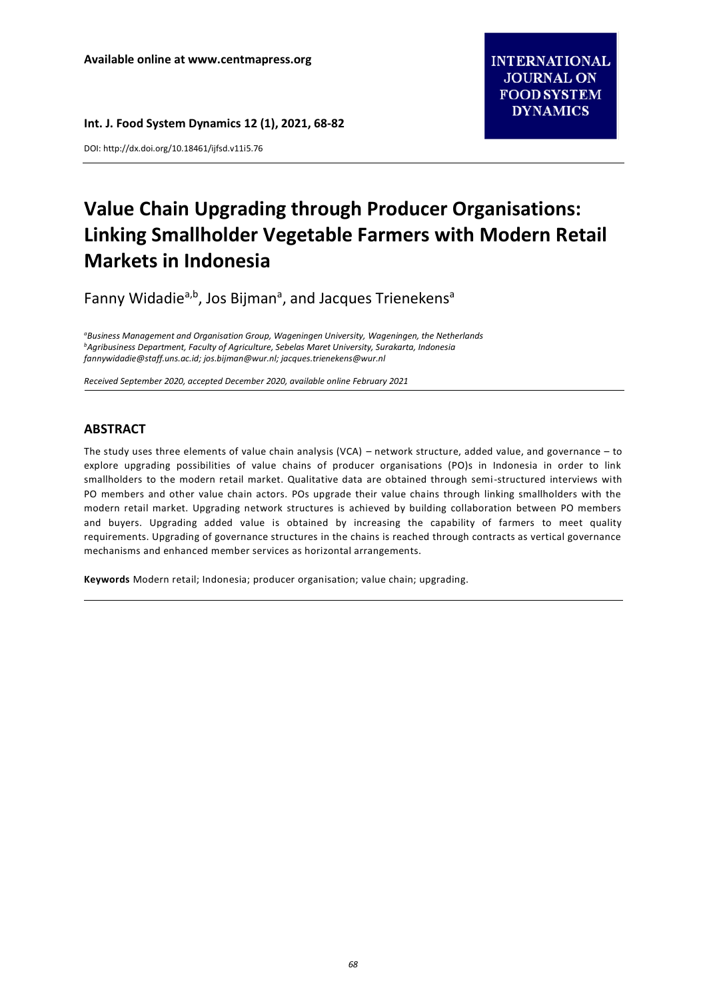DOI[: http://dx.doi.org/10.18461/ijfsd.v11i5.76](http://dx.doi.org/10.18461/ijfsd.v10i5.28)

# **Value Chain Upgrading through Producer Organisations: Linking Smallholder Vegetable Farmers with Modern Retail Markets in Indonesia**

Fanny Widadie<sup>a,b</sup>, Jos Bijman<sup>a</sup>, and Jacques Trienekens<sup>a</sup>

*<sup>a</sup>Business Management and Organisation Group, Wageningen University, Wageningen, the Netherlands <sup>b</sup>Agribusiness Department, Faculty of Agriculture, Sebelas Maret University, Surakarta, Indonesia [fannywidadie@staff.uns.ac.id;](mailto:fannywidadie@staff.uns.ac.id) [jos.bijman@wur.nl;](mailto:jos.bijman@wur.nl) [jacques.trienekens@wur.nl](mailto:jacques.trienekens@wur.nl)*

*Received September 2020, accepted December 2020, available online February 2021*

## **ABSTRACT**

The study uses three elements of value chain analysis (VCA) – network structure, added value, and governance – to explore upgrading possibilities of value chains of producer organisations (PO)s in Indonesia in order to link smallholders to the modern retail market. Qualitative data are obtained through semi-structured interviews with PO members and other value chain actors. POs upgrade their value chains through linking smallholders with the modern retail market. Upgrading network structures is achieved by building collaboration between PO members and buyers. Upgrading added value is obtained by increasing the capability of farmers to meet quality requirements. Upgrading of governance structures in the chains is reached through contracts as vertical governance mechanisms and enhanced member services as horizontal arrangements.

**Keywords** Modern retail; Indonesia; producer organisation; value chain; upgrading.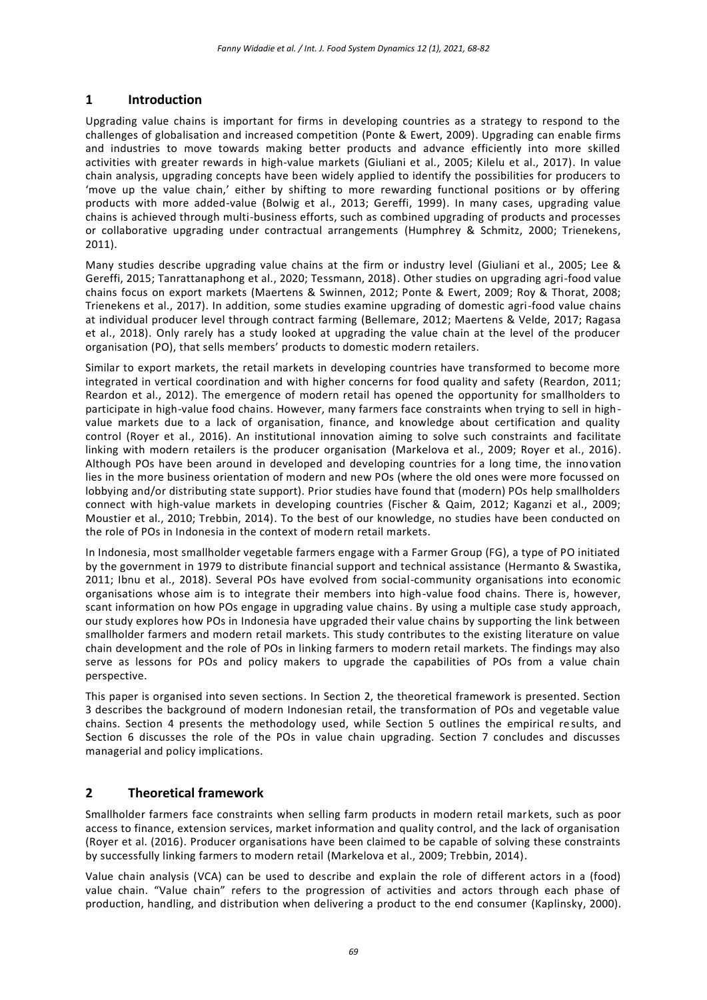# **1 Introduction**

Upgrading value chains is important for firms in developing countries as a strategy to respond to the challenges of globalisation and increased competition (Ponte & Ewert, 2009). Upgrading can enable firms and industries to move towards making better products and advance efficiently into more skilled activities with greater rewards in high-value markets (Giuliani et al., 2005; Kilelu et al., 2017). In value chain analysis, upgrading concepts have been widely applied to identify the possibilities for producers to 'move up the value chain,' either by shifting to more rewarding functional positions or by offering products with more added-value (Bolwig et al., 2013; Gereffi, 1999). In many cases, upgrading value chains is achieved through multi-business efforts, such as combined upgrading of products and processes or collaborative upgrading under contractual arrangements (Humphrey & Schmitz, 2000; Trienekens, 2011).

Many studies describe upgrading value chains at the firm or industry level (Giuliani et al., 2005; Lee & Gereffi, 2015; Tanrattanaphong et al., 2020; Tessmann, 2018). Other studies on upgrading agri-food value chains focus on export markets (Maertens & Swinnen, 2012; Ponte & Ewert, 2009; Roy & Thorat, 2008; Trienekens et al., 2017). In addition, some studies examine upgrading of domestic agri-food value chains at individual producer level through contract farming (Bellemare, 2012; Maertens & Velde, 2017; Ragasa et al., 2018). Only rarely has a study looked at upgrading the value chain at the level of the producer organisation (PO), that sells members' products to domestic modern retailers.

Similar to export markets, the retail markets in developing countries have transformed to become more integrated in vertical coordination and with higher concerns for food quality and safety (Reardon, 2011; Reardon et al., 2012). The emergence of modern retail has opened the opportunity for smallholders to participate in high-value food chains. However, many farmers face constraints when trying to sell in highvalue markets due to a lack of organisation, finance, and knowledge about certification and quality control (Royer et al., 2016). An institutional innovation aiming to solve such constraints and facilitate linking with modern retailers is the producer organisation (Markelova et al., 2009; Royer et al., 2016). Although POs have been around in developed and developing countries for a long time, the innovation lies in the more business orientation of modern and new POs (where the old ones were more focussed on lobbying and/or distributing state support). Prior studies have found that (modern) POs help smallholders connect with high-value markets in developing countries (Fischer & Qaim, 2012; Kaganzi et al., 2009; Moustier et al., 2010; Trebbin, 2014). To the best of our knowledge, no studies have been conducted on the role of POs in Indonesia in the context of modern retail markets.

In Indonesia, most smallholder vegetable farmers engage with a Farmer Group (FG), a type of PO initiated by the government in 1979 to distribute financial support and technical assistance (Hermanto & Swastika, 2011; Ibnu et al., 2018). Several POs have evolved from social-community organisations into economic organisations whose aim is to integrate their members into high-value food chains. There is, however, scant information on how POs engage in upgrading value chains. By using a multiple case study approach, our study explores how POs in Indonesia have upgraded their value chains by supporting the link between smallholder farmers and modern retail markets. This study contributes to the existing literature on value chain development and the role of POs in linking farmers to modern retail markets. The findings may also serve as lessons for POs and policy makers to upgrade the capabilities of POs from a value chain perspective.

This paper is organised into seven sections. In Section 2, the theoretical framework is presented. Section 3 describes the background of modern Indonesian retail, the transformation of POs and vegetable value chains. Section 4 presents the methodology used, while Section 5 outlines the empirical results, and Section 6 discusses the role of the POs in value chain upgrading. Section 7 concludes and discusses managerial and policy implications.

# **2 Theoretical framework**

Smallholder farmers face constraints when selling farm products in modern retail markets, such as poor access to finance, extension services, market information and quality control, and the lack of organisation (Royer et al. (2016). Producer organisations have been claimed to be capable of solving these constraints by successfully linking farmers to modern retail (Markelova et al., 2009; Trebbin, 2014).

Value chain analysis (VCA) can be used to describe and explain the role of different actors in a (food) value chain. "Value chain" refers to the progression of activities and actors through each phase of production, handling, and distribution when delivering a product to the end consumer (Kaplinsky, 2000).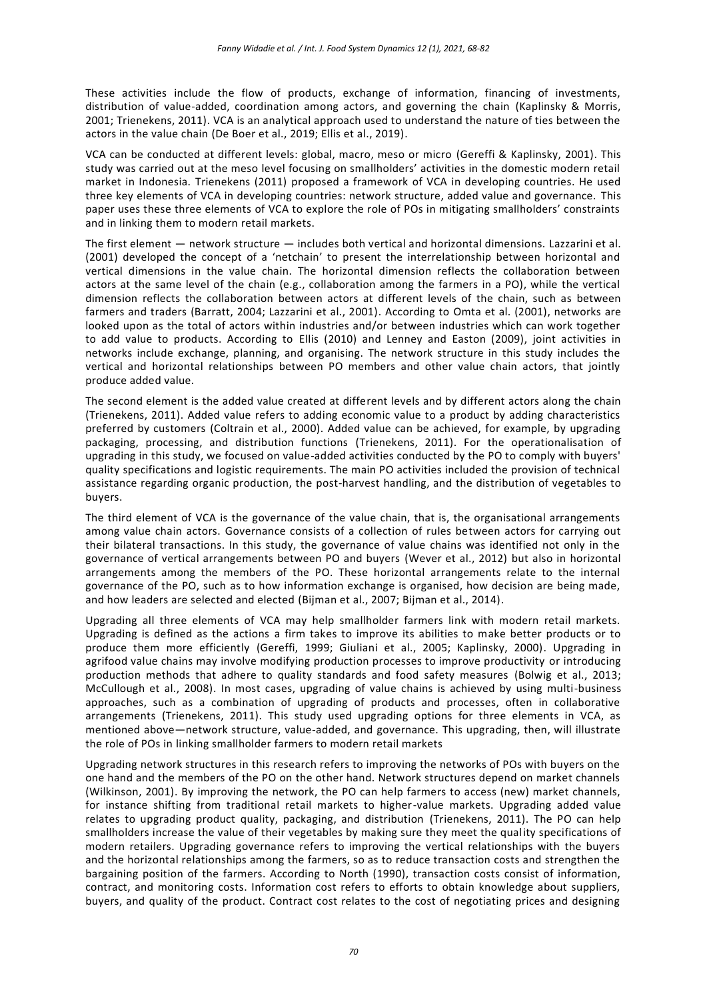These activities include the flow of products, exchange of information, financing of investments, distribution of value-added, coordination among actors, and governing the chain (Kaplinsky & Morris, 2001; Trienekens, 2011). VCA is an analytical approach used to understand the nature of ties between the actors in the value chain (De Boer et al., 2019; Ellis et al., 2019).

VCA can be conducted at different levels: global, macro, meso or micro (Gereffi & Kaplinsky, 2001). This study was carried out at the meso level focusing on smallholders' activities in the domestic modern retail market in Indonesia. Trienekens (2011) proposed a framework of VCA in developing countries. He used three key elements of VCA in developing countries: network structure, added value and governance. This paper uses these three elements of VCA to explore the role of POs in mitigating smallholders' constraints and in linking them to modern retail markets.

The first element — network structure — includes both vertical and horizontal dimensions. Lazzarini et al. (2001) developed the concept of a 'netchain' to present the interrelationship between horizontal and vertical dimensions in the value chain. The horizontal dimension reflects the collaboration between actors at the same level of the chain (e.g., collaboration among the farmers in a PO), while the vertical dimension reflects the collaboration between actors at different levels of the chain, such as between farmers and traders (Barratt, 2004; Lazzarini et al., 2001). According to Omta et al. (2001), networks are looked upon as the total of actors within industries and/or between industries which can work together to add value to products. According to Ellis (2010) and Lenney and Easton (2009), joint activities in networks include exchange, planning, and organising. The network structure in this study includes the vertical and horizontal relationships between PO members and other value chain actors, that jointly produce added value.

The second element is the added value created at different levels and by different actors along the chain (Trienekens, 2011). Added value refers to adding economic value to a product by adding characteristics preferred by customers (Coltrain et al., 2000). Added value can be achieved, for example, by upgrading packaging, processing, and distribution functions (Trienekens, 2011). For the operationalisation of upgrading in this study, we focused on value-added activities conducted by the PO to comply with buyers' quality specifications and logistic requirements. The main PO activities included the provision of technical assistance regarding organic production, the post-harvest handling, and the distribution of vegetables to buyers.

The third element of VCA is the governance of the value chain, that is, the organisational arrangements among value chain actors. Governance consists of a collection of rules between actors for carrying out their bilateral transactions. In this study, the governance of value chains was identified not only in the governance of vertical arrangements between PO and buyers (Wever et al., 2012) but also in horizontal arrangements among the members of the PO. These horizontal arrangements relate to the internal governance of the PO, such as to how information exchange is organised, how decision are being made, and how leaders are selected and elected (Bijman et al., 2007; Bijman et al., 2014).

Upgrading all three elements of VCA may help smallholder farmers link with modern retail markets. Upgrading is defined as the actions a firm takes to improve its abilities to make better products or to produce them more efficiently (Gereffi, 1999; Giuliani et al., 2005; Kaplinsky, 2000). Upgrading in agrifood value chains may involve modifying production processes to improve productivity or introducing production methods that adhere to quality standards and food safety measures (Bolwig et al., 2013; McCullough et al., 2008). In most cases, upgrading of value chains is achieved by using multi-business approaches, such as a combination of upgrading of products and processes, often in collaborative arrangements (Trienekens, 2011). This study used upgrading options for three elements in VCA, as mentioned above—network structure, value-added, and governance. This upgrading, then, will illustrate the role of POs in linking smallholder farmers to modern retail markets

Upgrading network structures in this research refers to improving the networks of POs with buyers on the one hand and the members of the PO on the other hand. Network structures depend on market channels (Wilkinson, 2001). By improving the network, the PO can help farmers to access (new) market channels, for instance shifting from traditional retail markets to higher-value markets. Upgrading added value relates to upgrading product quality, packaging, and distribution (Trienekens, 2011). The PO can help smallholders increase the value of their vegetables by making sure they meet the quality specifications of modern retailers. Upgrading governance refers to improving the vertical relationships with the buyers and the horizontal relationships among the farmers, so as to reduce transaction costs and strengthen the bargaining position of the farmers. According to North (1990), transaction costs consist of information, contract, and monitoring costs. Information cost refers to efforts to obtain knowledge about suppliers, buyers, and quality of the product. Contract cost relates to the cost of negotiating prices and designing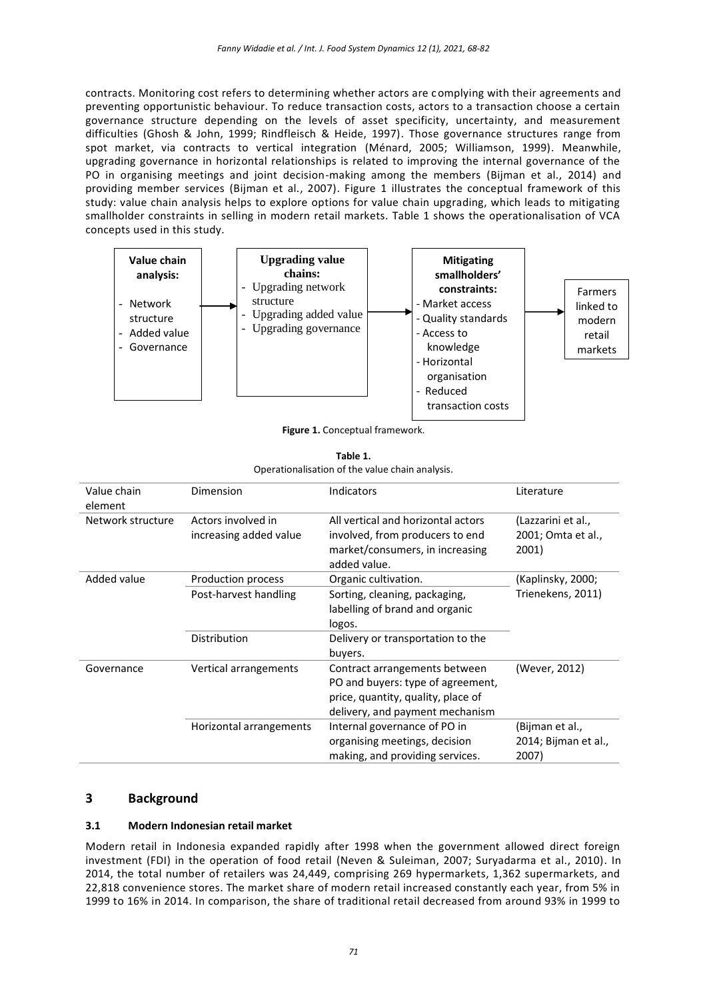contracts. Monitoring cost refers to determining whether actors are complying with their agreements and preventing opportunistic behaviour. To reduce transaction costs, actors to a transaction choose a certain governance structure depending on the levels of asset specificity, uncertainty, and measurement difficulties (Ghosh & John, 1999; Rindfleisch & Heide, 1997). Those governance structures range from spot market, via contracts to vertical integration (Ménard, 2005; Williamson, 1999). Meanwhile, upgrading governance in horizontal relationships is related to improving the internal governance of the PO in organising meetings and joint decision-making among the members (Bijman et al., 2014) and providing member services (Bijman et al., 2007). Figure 1 illustrates the conceptual framework of this study: value chain analysis helps to explore options for value chain upgrading, which leads to mitigating smallholder constraints in selling in modern retail markets. Table 1 shows the operationalisation of VCA concepts used in this study.



**Figure 1.** Conceptual framework.

| Table 1.                                        |
|-------------------------------------------------|
| Operationalisation of the value chain analysis. |

| Value chain<br>element | Dimension                                    | Indicators                                                                                                                                  | Literature                                        |
|------------------------|----------------------------------------------|---------------------------------------------------------------------------------------------------------------------------------------------|---------------------------------------------------|
| Network structure      | Actors involved in<br>increasing added value | All vertical and horizontal actors<br>involved, from producers to end<br>market/consumers, in increasing<br>added value.                    | (Lazzarini et al.,<br>2001; Omta et al.,<br>2001) |
| Added value            | Production process<br>Post-harvest handling  | Organic cultivation.<br>Sorting, cleaning, packaging,<br>labelling of brand and organic<br>logos.                                           | (Kaplinsky, 2000;<br>Trienekens, 2011)            |
|                        | Distribution                                 | Delivery or transportation to the<br>buyers.                                                                                                |                                                   |
| Governance             | Vertical arrangements                        | Contract arrangements between<br>PO and buyers: type of agreement,<br>price, quantity, quality, place of<br>delivery, and payment mechanism | (Wever, 2012)                                     |
|                        | Horizontal arrangements                      | Internal governance of PO in<br>organising meetings, decision<br>making, and providing services.                                            | (Bijman et al.,<br>2014; Bijman et al.,<br>2007)  |

# **3 Background**

## **3.1 Modern Indonesian retail market**

Modern retail in Indonesia expanded rapidly after 1998 when the government allowed direct foreign investment (FDI) in the operation of food retail (Neven & Suleiman, 2007; Suryadarma et al., 2010). In 2014, the total number of retailers was 24,449, comprising 269 hypermarkets, 1,362 supermarkets, and 22,818 convenience stores. The market share of modern retail increased constantly each year, from 5% in 1999 to 16% in 2014. In comparison, the share of traditional retail decreased from around 93% in 1999 to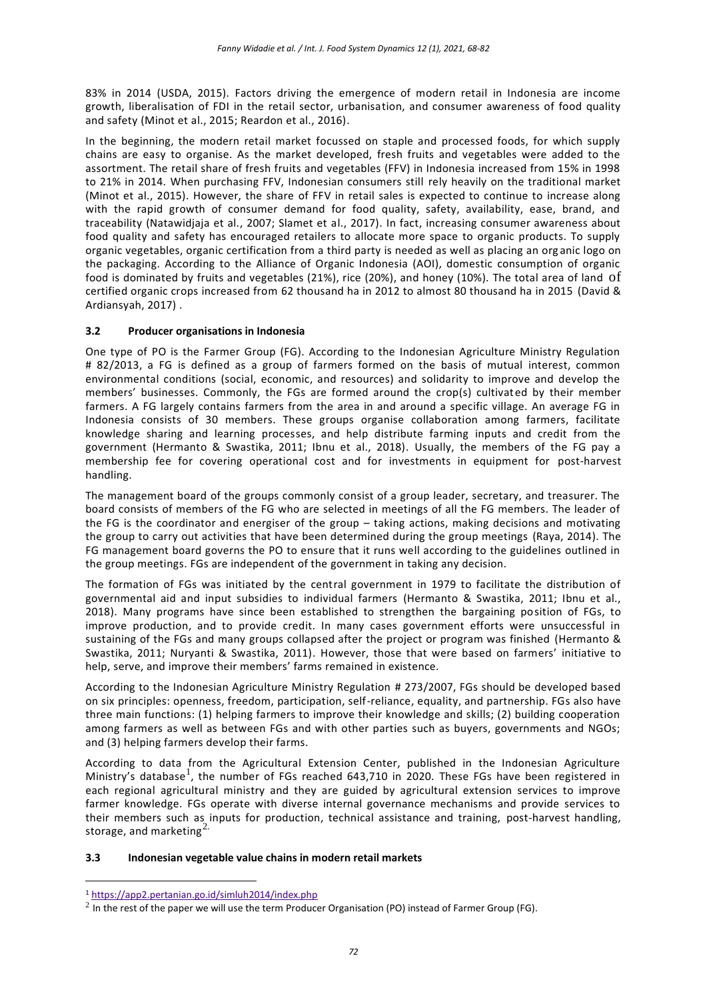83% in 2014 (USDA, 2015). Factors driving the emergence of modern retail in Indonesia are income growth, liberalisation of FDI in the retail sector, urbanisation, and consumer awareness of food quality and safety (Minot et al., 2015; Reardon et al., 2016).

In the beginning, the modern retail market focussed on staple and processed foods, for which supply chains are easy to organise. As the market developed, fresh fruits and vegetables were added to the assortment. The retail share of fresh fruits and vegetables (FFV) in Indonesia increased from 15% in 1998 to 21% in 2014. When purchasing FFV, Indonesian consumers still rely heavily on the traditional market (Minot et al., 2015). However, the share of FFV in retail sales is expected to continue to increase along with the rapid growth of consumer demand for food quality, safety, availability, ease, brand, and traceability (Natawidjaja et al., 2007; Slamet et al., 2017). In fact, increasing consumer awareness about food quality and safety has encouraged retailers to allocate more space to organic products. To supply organic vegetables, organic certification from a third party is needed as well as placing an org anic logo on the packaging. According to the Alliance of Organic Indonesia (AOI), domestic consumption of organic food is dominated by fruits and vegetables (21%), rice (20%), and honey (10%). The total area of land of certified organic crops increased from 62 thousand ha in 2012 to almost 80 thousand ha in 2015 (David & Ardiansyah, 2017) .

## **3.2 Producer organisations in Indonesia**

One type of PO is the Farmer Group (FG). According to the Indonesian Agriculture Ministry Regulation # 82/2013, a FG is defined as a group of farmers formed on the basis of mutual interest, common environmental conditions (social, economic, and resources) and solidarity to improve and develop the members' businesses. Commonly, the FGs are formed around the crop(s) cultivated by their member farmers. A FG largely contains farmers from the area in and around a specific village. An average FG in Indonesia consists of 30 members. These groups organise collaboration among farmers, facilitate knowledge sharing and learning processes, and help distribute farming inputs and credit from the government (Hermanto & Swastika, 2011; Ibnu et al., 2018). Usually, the members of the FG pay a membership fee for covering operational cost and for investments in equipment for post-harvest handling.

The management board of the groups commonly consist of a group leader, secretary, and treasurer. The board consists of members of the FG who are selected in meetings of all the FG members. The leader of the FG is the coordinator and energiser of the group – taking actions, making decisions and motivating the group to carry out activities that have been determined during the group meetings (Raya, 2014). The FG management board governs the PO to ensure that it runs well according to the guidelines outlined in the group meetings. FGs are independent of the government in taking any decision.

The formation of FGs was initiated by the central government in 1979 to facilitate the distribution of governmental aid and input subsidies to individual farmers (Hermanto & Swastika, 2011; Ibnu et al., 2018). Many programs have since been established to strengthen the bargaining position of FGs, to improve production, and to provide credit. In many cases government efforts were unsuccessful in sustaining of the FGs and many groups collapsed after the project or program was finished (Hermanto & Swastika, 2011; Nuryanti & Swastika, 2011). However, those that were based on farmers' initiative to help, serve, and improve their members' farms remained in existence.

According to the Indonesian Agriculture Ministry Regulation # 273/2007, FGs should be developed based on six principles: openness, freedom, participation, self-reliance, equality, and partnership. FGs also have three main functions: (1) helping farmers to improve their knowledge and skills; (2) building cooperation among farmers as well as between FGs and with other parties such as buyers, governments and NGOs; and (3) helping farmers develop their farms.

According to data from the Agricultural Extension Center, published in the Indonesian Agriculture Ministry's database<sup>1</sup>, the number of FGs reached 643,710 in 2020. These FGs have been registered in each regional agricultural ministry and they are guided by agricultural extension services to improve farmer knowledge. FGs operate with diverse internal governance mechanisms and provide services to their members such as inputs for production, technical assistance and training, post-harvest handling, storage, and marketing $^{2}$ .

#### **3.3 Indonesian vegetable value chains in modern retail markets**

1

<sup>1</sup> <https://app2.pertanian.go.id/simluh2014/index.php>

 $^2$  In the rest of the paper we will use the term Producer Organisation (PO) instead of Farmer Group (FG).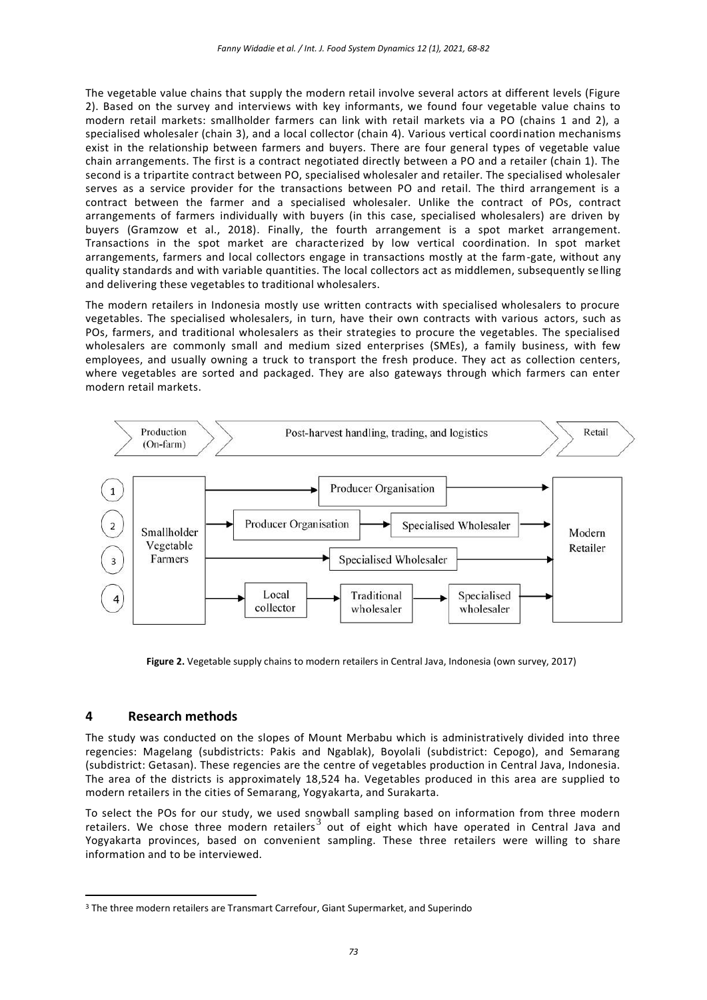The vegetable value chains that supply the modern retail involve several actors at different levels (Figure 2). Based on the survey and interviews with key informants, we found four vegetable value chains to modern retail markets: smallholder farmers can link with retail markets via a PO (chains 1 and 2), a specialised wholesaler (chain 3), and a local collector (chain 4). Various vertical coordination mechanisms exist in the relationship between farmers and buyers. There are four general types of vegetable value chain arrangements. The first is a contract negotiated directly between a PO and a retailer (chain 1). The second is a tripartite contract between PO, specialised wholesaler and retailer. The specialised wholesaler serves as a service provider for the transactions between PO and retail. The third arrangement is a contract between the farmer and a specialised wholesaler. Unlike the contract of POs, contract arrangements of farmers individually with buyers (in this case, specialised wholesalers) are driven by buyers (Gramzow et al., 2018). Finally, the fourth arrangement is a spot market arrangement. Transactions in the spot market are characterized by low vertical coordination. In spot market arrangements, farmers and local collectors engage in transactions mostly at the farm-gate, without any quality standards and with variable quantities. The local collectors act as middlemen, subsequently se lling and delivering these vegetables to traditional wholesalers.

The modern retailers in Indonesia mostly use written contracts with specialised wholesalers to procure vegetables. The specialised wholesalers, in turn, have their own contracts with various actors, such as POs, farmers, and traditional wholesalers as their strategies to procure the vegetables. The specialised wholesalers are commonly small and medium sized enterprises (SMEs), a family business, with few employees, and usually owning a truck to transport the fresh produce. They act as collection centers, where vegetables are sorted and packaged. They are also gateways through which farmers can enter modern retail markets.



**Figure 2.** Vegetable supply chains to modern retailers in Central Java, Indonesia (own survey, 2017)

## **4 Research methods**

<u>.</u>

The study was conducted on the slopes of Mount Merbabu which is administratively divided into three regencies: Magelang (subdistricts: Pakis and Ngablak), Boyolali (subdistrict: Cepogo), and Semarang (subdistrict: Getasan). These regencies are the centre of vegetables production in Central Java, Indonesia. The area of the districts is approximately 18,524 ha. Vegetables produced in this area are supplied to modern retailers in the cities of Semarang, Yogyakarta, and Surakarta.

To select the POs for our study, we used snowball sampling based on information from three modern retailers. We chose three modern retailers<sup>3</sup> out of eight which have operated in Central Java and Yogyakarta provinces, based on convenient sampling. These three retailers were willing to share information and to be interviewed.

<sup>&</sup>lt;sup>3</sup> The three modern retailers are Transmart Carrefour, Giant Supermarket, and Superindo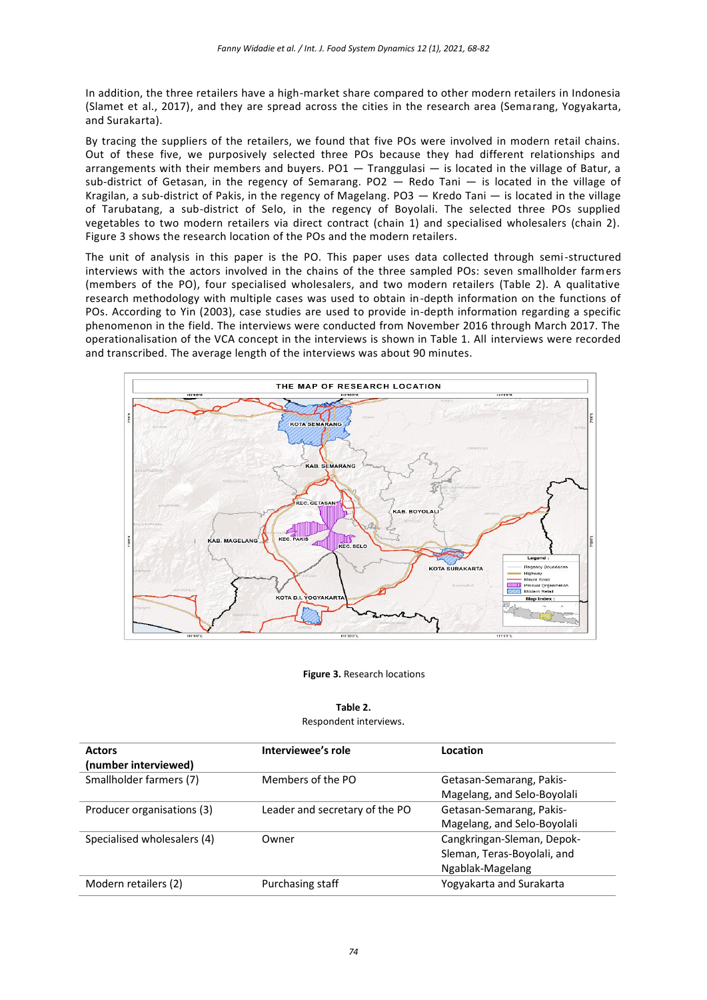In addition, the three retailers have a high-market share compared to other modern retailers in Indonesia (Slamet et al., 2017), and they are spread across the cities in the research area (Semarang, Yogyakarta, and Surakarta).

By tracing the suppliers of the retailers, we found that five POs were involved in modern retail chains. Out of these five, we purposively selected three POs because they had different relationships and arrangements with their members and buyers.  $PO1 - Transgulasi - is located in the village of Batur, a$ sub-district of Getasan, in the regency of Semarang. PO2 — Redo Tani — is located in the village of Kragilan, a sub-district of Pakis, in the regency of Magelang. PO3 — Kredo Tani — is located in the village of Tarubatang, a sub-district of Selo, in the regency of Boyolali. The selected three POs supplied vegetables to two modern retailers via direct contract (chain 1) and specialised wholesalers (chain 2). Figure 3 shows the research location of the POs and the modern retailers.

The unit of analysis in this paper is the PO. This paper uses data collected through semi-structured interviews with the actors involved in the chains of the three sampled POs: seven smallholder farmers (members of the PO), four specialised wholesalers, and two modern retailers (Table 2). A qualitative research methodology with multiple cases was used to obtain in-depth information on the functions of POs. According to Yin (2003), case studies are used to provide in-depth information regarding a specific phenomenon in the field. The interviews were conducted from November 2016 through March 2017. The operationalisation of the VCA concept in the interviews is shown in Table 1. All interviews were recorded and transcribed. The average length of the interviews was about 90 minutes.



#### **Figure 3.** Research locations

# **Table 2.**

### Respondent interviews.

| <b>Actors</b>               | Interviewee's role             | Location                    |
|-----------------------------|--------------------------------|-----------------------------|
| (number interviewed)        |                                |                             |
| Smallholder farmers (7)     | Members of the PO              | Getasan-Semarang, Pakis-    |
|                             |                                | Magelang, and Selo-Boyolali |
| Producer organisations (3)  | Leader and secretary of the PO | Getasan-Semarang, Pakis-    |
|                             |                                | Magelang, and Selo-Boyolali |
| Specialised wholesalers (4) | Owner                          | Cangkringan-Sleman, Depok-  |
|                             |                                | Sleman, Teras-Boyolali, and |
|                             |                                | Ngablak-Magelang            |
| Modern retailers (2)        | Purchasing staff               | Yogyakarta and Surakarta    |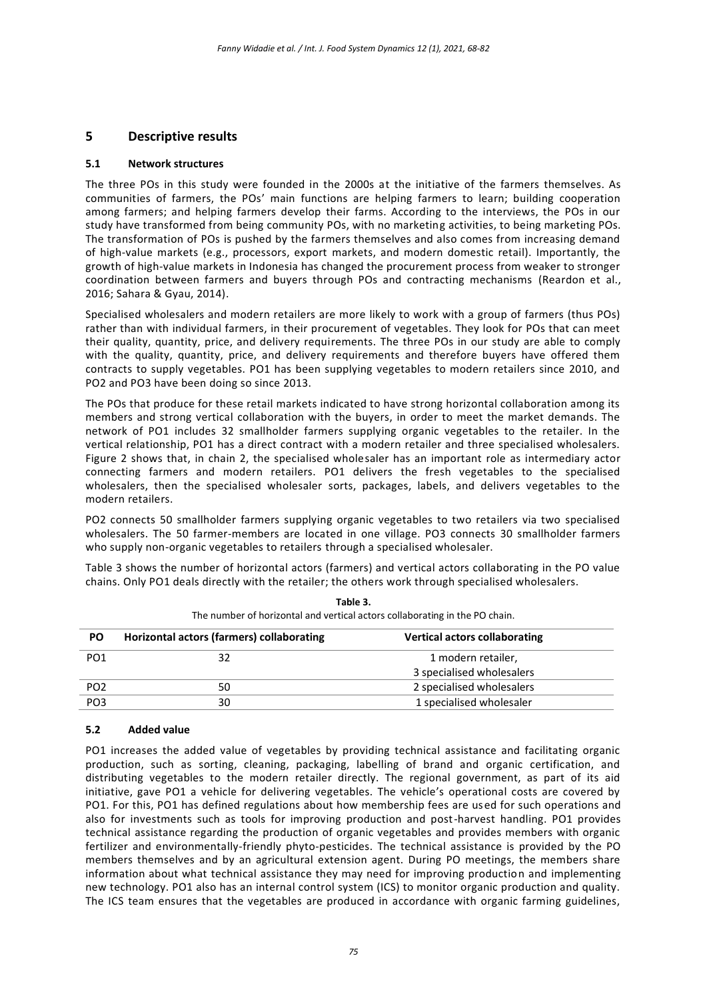## **5 Descriptive results**

#### **5.1 Network structures**

The three POs in this study were founded in the 2000s at the initiative of the farmers themselves. As communities of farmers, the POs' main functions are helping farmers to learn; building cooperation among farmers; and helping farmers develop their farms. According to the interviews, the POs in our study have transformed from being community POs, with no marketing activities, to being marketing POs. The transformation of POs is pushed by the farmers themselves and also comes from increasing demand of high-value markets (e.g., processors, export markets, and modern domestic retail). Importantly, the growth of high-value markets in Indonesia has changed the procurement process from weaker to stronger coordination between farmers and buyers through POs and contracting mechanisms (Reardon et al., 2016; Sahara & Gyau, 2014).

Specialised wholesalers and modern retailers are more likely to work with a group of farmers (thus POs) rather than with individual farmers, in their procurement of vegetables. They look for POs that can meet their quality, quantity, price, and delivery requirements. The three POs in our study are able to comply with the quality, quantity, price, and delivery requirements and therefore buyers have offered them contracts to supply vegetables. PO1 has been supplying vegetables to modern retailers since 2010, and PO2 and PO3 have been doing so since 2013.

The POs that produce for these retail markets indicated to have strong horizontal collaboration among its members and strong vertical collaboration with the buyers, in order to meet the market demands. The network of PO1 includes 32 smallholder farmers supplying organic vegetables to the retailer. In the vertical relationship, PO1 has a direct contract with a modern retailer and three specialised wholesalers. Figure 2 shows that, in chain 2, the specialised wholesaler has an important role as intermediary actor connecting farmers and modern retailers. PO1 delivers the fresh vegetables to the specialised wholesalers, then the specialised wholesaler sorts, packages, labels, and delivers vegetables to the modern retailers.

PO2 connects 50 smallholder farmers supplying organic vegetables to two retailers via two specialised wholesalers. The 50 farmer-members are located in one village. PO3 connects 30 smallholder farmers who supply non-organic vegetables to retailers through a specialised wholesaler.

Table 3 shows the number of horizontal actors (farmers) and vertical actors collaborating in the PO value chains. Only PO1 deals directly with the retailer; the others work through specialised wholesalers.

| PO              | Horizontal actors (farmers) collaborating | <b>Vertical actors collaborating</b> |  |
|-----------------|-------------------------------------------|--------------------------------------|--|
| PO <sub>1</sub> | 32                                        | 1 modern retailer,                   |  |
|                 |                                           | 3 specialised wholesalers            |  |
| PO <sub>2</sub> | 50                                        | 2 specialised wholesalers            |  |
| PO <sub>3</sub> | 30                                        | 1 specialised wholesaler             |  |

**Table 3.** The number of horizontal and vertical actors collaborating in the PO chain.

#### **5.2 Added value**

PO1 increases the added value of vegetables by providing technical assistance and facilitating organic production, such as sorting, cleaning, packaging, labelling of brand and organic certification, and distributing vegetables to the modern retailer directly. The regional government, as part of its aid initiative, gave PO1 a vehicle for delivering vegetables. The vehicle's operational costs are covered by PO1. For this, PO1 has defined regulations about how membership fees are used for such operations and also for investments such as tools for improving production and post-harvest handling. PO1 provides technical assistance regarding the production of organic vegetables and provides members with organic fertilizer and environmentally-friendly phyto-pesticides. The technical assistance is provided by the PO members themselves and by an agricultural extension agent. During PO meetings, the members share information about what technical assistance they may need for improving production and implementing new technology. PO1 also has an internal control system (ICS) to monitor organic production and quality. The ICS team ensures that the vegetables are produced in accordance with organic farming guidelines,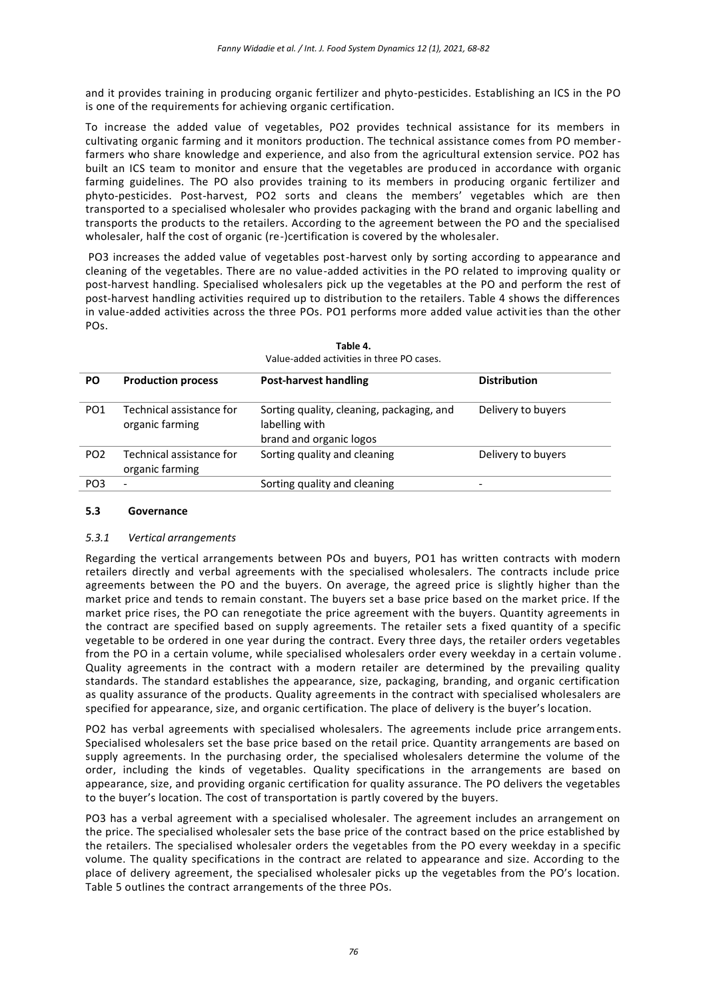and it provides training in producing organic fertilizer and phyto-pesticides. Establishing an ICS in the PO is one of the requirements for achieving organic certification.

To increase the added value of vegetables, PO2 provides technical assistance for its members in cultivating organic farming and it monitors production. The technical assistance comes from PO memberfarmers who share knowledge and experience, and also from the agricultural extension service. PO2 has built an ICS team to monitor and ensure that the vegetables are produced in accordance with organic farming guidelines. The PO also provides training to its members in producing organic fertilizer and phyto-pesticides. Post-harvest, PO2 sorts and cleans the members' vegetables which are then transported to a specialised wholesaler who provides packaging with the brand and organic labelling and transports the products to the retailers. According to the agreement between the PO and the specialised wholesaler, half the cost of organic (re-)certification is covered by the wholesaler.

PO3 increases the added value of vegetables post-harvest only by sorting according to appearance and cleaning of the vegetables. There are no value-added activities in the PO related to improving quality or post-harvest handling. Specialised wholesalers pick up the vegetables at the PO and perform the rest of post-harvest handling activities required up to distribution to the retailers. Table 4 shows the differences in value-added activities across the three POs. PO1 performs more added value activities than the other POs.

| Value-added activities in three PO cases. |                                             |                                                                                        |                     |
|-------------------------------------------|---------------------------------------------|----------------------------------------------------------------------------------------|---------------------|
| <b>PO</b>                                 | <b>Production process</b>                   | <b>Post-harvest handling</b>                                                           | <b>Distribution</b> |
| PO <sub>1</sub>                           | Technical assistance for<br>organic farming | Sorting quality, cleaning, packaging, and<br>labelling with<br>brand and organic logos | Delivery to buyers  |
| PO <sub>2</sub>                           | Technical assistance for<br>organic farming | Sorting quality and cleaning                                                           | Delivery to buyers  |
| PO <sub>3</sub>                           | $\overline{\phantom{a}}$                    | Sorting quality and cleaning                                                           |                     |

| Table 4.                                  |  |
|-------------------------------------------|--|
| Value-added activities in three PO cases. |  |

#### **5.3 Governance**

#### *5.3.1 Vertical arrangements*

Regarding the vertical arrangements between POs and buyers, PO1 has written contracts with modern retailers directly and verbal agreements with the specialised wholesalers. The contracts include price agreements between the PO and the buyers. On average, the agreed price is slightly higher than the market price and tends to remain constant. The buyers set a base price based on the market price. If the market price rises, the PO can renegotiate the price agreement with the buyers. Quantity agreements in the contract are specified based on supply agreements. The retailer sets a fixed quantity of a specific vegetable to be ordered in one year during the contract. Every three days, the retailer orders vegetables from the PO in a certain volume, while specialised wholesalers order every weekday in a certain volume . Quality agreements in the contract with a modern retailer are determined by the prevailing quality standards. The standard establishes the appearance, size, packaging, branding, and organic certification as quality assurance of the products. Quality agreements in the contract with specialised wholesalers are specified for appearance, size, and organic certification. The place of delivery is the buyer's location.

PO2 has verbal agreements with specialised wholesalers. The agreements include price arrangements. Specialised wholesalers set the base price based on the retail price. Quantity arrangements are based on supply agreements. In the purchasing order, the specialised wholesalers determine the volume of the order, including the kinds of vegetables. Quality specifications in the arrangements are based on appearance, size, and providing organic certification for quality assurance. The PO delivers the vegetables to the buyer's location. The cost of transportation is partly covered by the buyers.

PO3 has a verbal agreement with a specialised wholesaler. The agreement includes an arrangement on the price. The specialised wholesaler sets the base price of the contract based on the price established by the retailers. The specialised wholesaler orders the vegetables from the PO every weekday in a specific volume. The quality specifications in the contract are related to appearance and size. According to the place of delivery agreement, the specialised wholesaler picks up the vegetables from the PO's location. Table 5 outlines the contract arrangements of the three POs.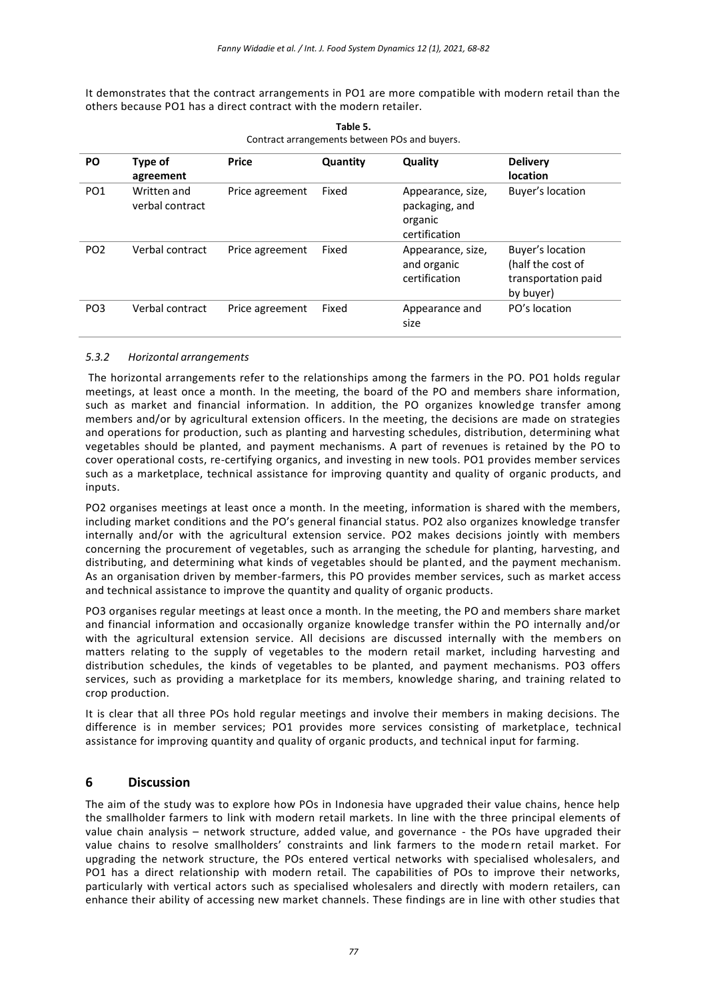It demonstrates that the contract arrangements in PO1 are more compatible with modern retail than the others because PO1 has a direct contract with the modern retailer.

| PO              | Type of<br>agreement           | <b>Price</b>    | Quantity | Quality                                                         | <b>Delivery</b><br><b>location</b>                                        |
|-----------------|--------------------------------|-----------------|----------|-----------------------------------------------------------------|---------------------------------------------------------------------------|
| PO <sub>1</sub> | Written and<br>verbal contract | Price agreement | Fixed    | Appearance, size,<br>packaging, and<br>organic<br>certification | Buyer's location                                                          |
| PO <sub>2</sub> | Verbal contract                | Price agreement | Fixed    | Appearance, size,<br>and organic<br>certification               | Buyer's location<br>(half the cost of<br>transportation paid<br>by buyer) |
| PO <sub>3</sub> | Verbal contract                | Price agreement | Fixed    | Appearance and<br>size                                          | PO's location                                                             |

**Table 5.** Contract arrangements between POs and buyers.

## *5.3.2 Horizontal arrangements*

The horizontal arrangements refer to the relationships among the farmers in the PO. PO1 holds regular meetings, at least once a month. In the meeting, the board of the PO and members share information, such as market and financial information. In addition, the PO organizes knowledge transfer among members and/or by agricultural extension officers. In the meeting, the decisions are made on strategies and operations for production, such as planting and harvesting schedules, distribution, determining what vegetables should be planted, and payment mechanisms. A part of revenues is retained by the PO to cover operational costs, re-certifying organics, and investing in new tools. PO1 provides member services such as a marketplace, technical assistance for improving quantity and quality of organic products, and inputs.

PO2 organises meetings at least once a month. In the meeting, information is shared with the members, including market conditions and the PO's general financial status. PO2 also organizes knowledge transfer internally and/or with the agricultural extension service. PO2 makes decisions jointly with members concerning the procurement of vegetables, such as arranging the schedule for planting, harvesting, and distributing, and determining what kinds of vegetables should be planted, and the payment mechanism. As an organisation driven by member-farmers, this PO provides member services, such as market access and technical assistance to improve the quantity and quality of organic products.

PO3 organises regular meetings at least once a month. In the meeting, the PO and members share market and financial information and occasionally organize knowledge transfer within the PO internally and/or with the agricultural extension service. All decisions are discussed internally with the members on matters relating to the supply of vegetables to the modern retail market, including harvesting and distribution schedules, the kinds of vegetables to be planted, and payment mechanisms. PO3 offers services, such as providing a marketplace for its members, knowledge sharing, and training related to crop production.

It is clear that all three POs hold regular meetings and involve their members in making decisions. The difference is in member services; PO1 provides more services consisting of marketplace, technical assistance for improving quantity and quality of organic products, and technical input for farming.

## **6 Discussion**

The aim of the study was to explore how POs in Indonesia have upgraded their value chains, hence help the smallholder farmers to link with modern retail markets. In line with the three principal elements of value chain analysis – network structure, added value, and governance - the POs have upgraded their value chains to resolve smallholders' constraints and link farmers to the modern retail market. For upgrading the network structure, the POs entered vertical networks with specialised wholesalers, and PO1 has a direct relationship with modern retail. The capabilities of POs to improve their networks, particularly with vertical actors such as specialised wholesalers and directly with modern retailers, can enhance their ability of accessing new market channels. These findings are in line with other studies that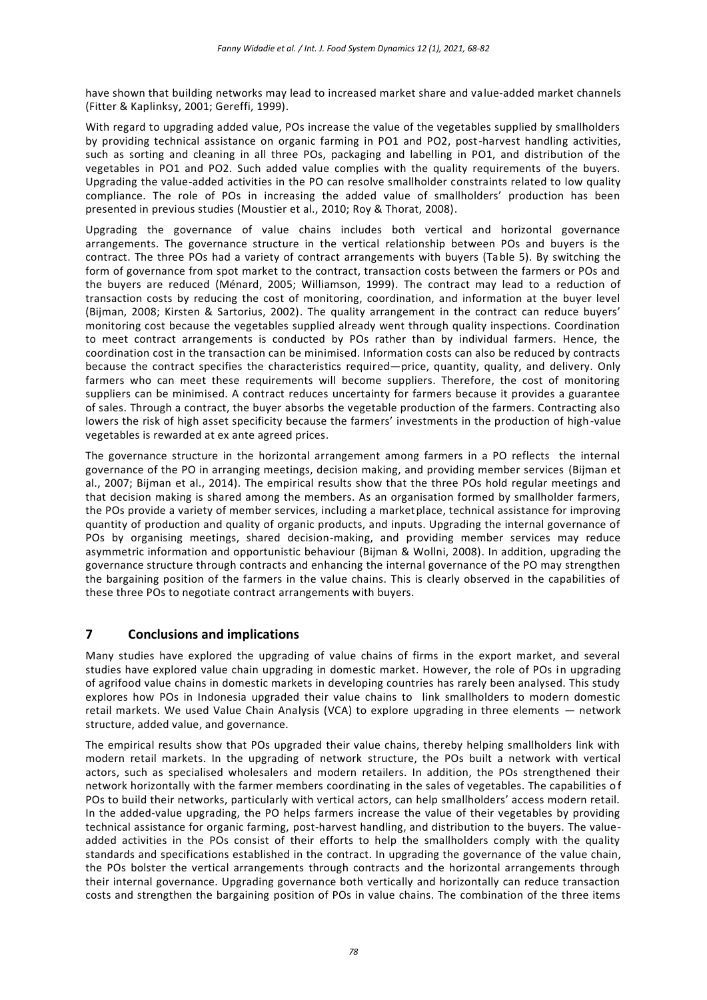have shown that building networks may lead to increased market share and value-added market channels (Fitter & Kaplinksy, 2001; Gereffi, 1999).

With regard to upgrading added value, POs increase the value of the vegetables supplied by smallholders by providing technical assistance on organic farming in PO1 and PO2, post-harvest handling activities, such as sorting and cleaning in all three POs, packaging and labelling in PO1, and distribution of the vegetables in PO1 and PO2. Such added value complies with the quality requirements of the buyers. Upgrading the value-added activities in the PO can resolve smallholder constraints related to low quality compliance. The role of POs in increasing the added value of smallholders' production has been presented in previous studies (Moustier et al., 2010; Roy & Thorat, 2008).

Upgrading the governance of value chains includes both vertical and horizontal governance arrangements. The governance structure in the vertical relationship between POs and buyers is the contract. The three POs had a variety of contract arrangements with buyers (Table 5). By switching the form of governance from spot market to the contract, transaction costs between the farmers or POs and the buyers are reduced (Ménard, 2005; Williamson, 1999). The contract may lead to a reduction of transaction costs by reducing the cost of monitoring, coordination, and information at the buyer level (Bijman, 2008; Kirsten & Sartorius, 2002). The quality arrangement in the contract can reduce buyers' monitoring cost because the vegetables supplied already went through quality inspections. Coordination to meet contract arrangements is conducted by POs rather than by individual farmers. Hence, the coordination cost in the transaction can be minimised. Information costs can also be reduced by contracts because the contract specifies the characteristics required—price, quantity, quality, and delivery. Only farmers who can meet these requirements will become suppliers. Therefore, the cost of monitoring suppliers can be minimised. A contract reduces uncertainty for farmers because it provides a guarantee of sales. Through a contract, the buyer absorbs the vegetable production of the farmers. Contracting also lowers the risk of high asset specificity because the farmers' investments in the production of high-value vegetables is rewarded at ex ante agreed prices.

The governance structure in the horizontal arrangement among farmers in a PO reflects the internal governance of the PO in arranging meetings, decision making, and providing member services (Bijman et al., 2007; Bijman et al., 2014). The empirical results show that the three POs hold regular meetings and that decision making is shared among the members. As an organisation formed by smallholder farmers, the POs provide a variety of member services, including a marketplace, technical assistance for improving quantity of production and quality of organic products, and inputs. Upgrading the internal governance of POs by organising meetings, shared decision-making, and providing member services may reduce asymmetric information and opportunistic behaviour (Bijman & Wollni, 2008). In addition, upgrading the governance structure through contracts and enhancing the internal governance of the PO may strengthen the bargaining position of the farmers in the value chains. This is clearly observed in the capabilities of these three POs to negotiate contract arrangements with buyers.

# **7 Conclusions and implications**

Many studies have explored the upgrading of value chains of firms in the export market, and several studies have explored value chain upgrading in domestic market. However, the role of POs in upgrading of agrifood value chains in domestic markets in developing countries has rarely been analysed. This study explores how POs in Indonesia upgraded their value chains to link smallholders to modern domestic retail markets. We used Value Chain Analysis (VCA) to explore upgrading in three elements — network structure, added value, and governance.

The empirical results show that POs upgraded their value chains, thereby helping smallholders link with modern retail markets. In the upgrading of network structure, the POs built a network with vertical actors, such as specialised wholesalers and modern retailers. In addition, the POs strengthened their network horizontally with the farmer members coordinating in the sales of vegetables. The capabilities o f POs to build their networks, particularly with vertical actors, can help smallholders' access modern retail. In the added-value upgrading, the PO helps farmers increase the value of their vegetables by providing technical assistance for organic farming, post-harvest handling, and distribution to the buyers. The valueadded activities in the POs consist of their efforts to help the smallholders comply with the quality standards and specifications established in the contract. In upgrading the governance of the value chain, the POs bolster the vertical arrangements through contracts and the horizontal arrangements through their internal governance. Upgrading governance both vertically and horizontally can reduce transaction costs and strengthen the bargaining position of POs in value chains. The combination of the three items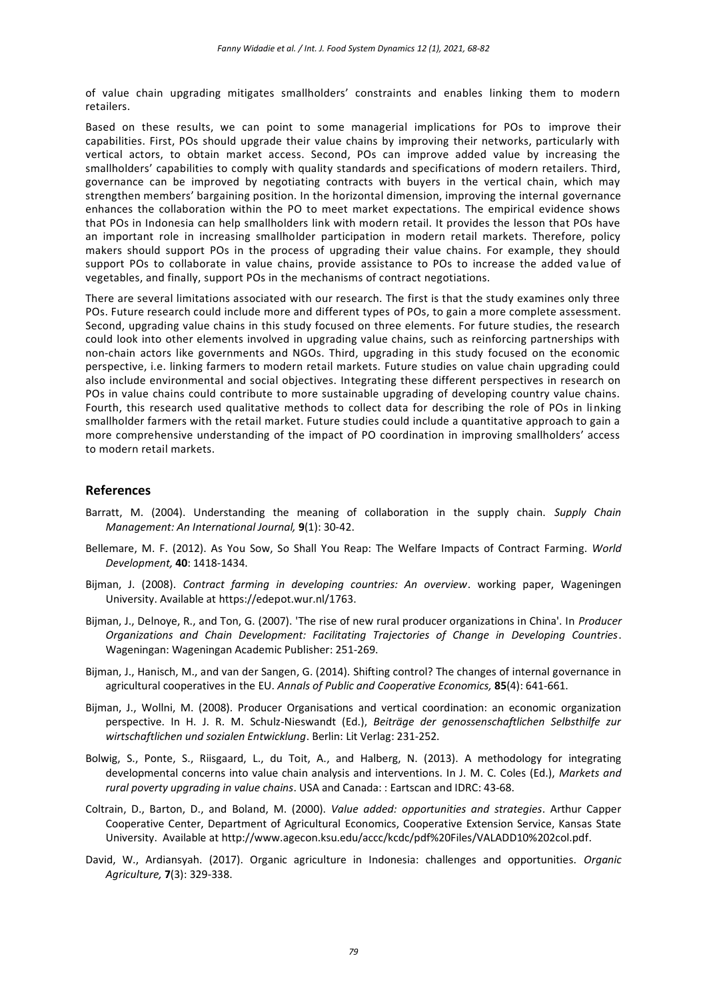of value chain upgrading mitigates smallholders' constraints and enables linking them to modern retailers.

Based on these results, we can point to some managerial implications for POs to improve their capabilities. First, POs should upgrade their value chains by improving their networks, particularly with vertical actors, to obtain market access. Second, POs can improve added value by increasing the smallholders' capabilities to comply with quality standards and specifications of modern retailers. Third, governance can be improved by negotiating contracts with buyers in the vertical chain, which may strengthen members' bargaining position. In the horizontal dimension, improving the internal governance enhances the collaboration within the PO to meet market expectations. The empirical evidence shows that POs in Indonesia can help smallholders link with modern retail. It provides the lesson that POs have an important role in increasing smallholder participation in modern retail markets. Therefore, policy makers should support POs in the process of upgrading their value chains. For example, they should support POs to collaborate in value chains, provide assistance to POs to increase the added va lue of vegetables, and finally, support POs in the mechanisms of contract negotiations.

There are several limitations associated with our research. The first is that the study examines only three POs. Future research could include more and different types of POs, to gain a more complete assessment. Second, upgrading value chains in this study focused on three elements. For future studies, the research could look into other elements involved in upgrading value chains, such as reinforcing partnerships with non-chain actors like governments and NGOs. Third, upgrading in this study focused on the economic perspective, i.e. linking farmers to modern retail markets. Future studies on value chain upgrading could also include environmental and social objectives. Integrating these different perspectives in research on POs in value chains could contribute to more sustainable upgrading of developing country value chains. Fourth, this research used qualitative methods to collect data for describing the role of POs in linking smallholder farmers with the retail market. Future studies could include a quantitative approach to gain a more comprehensive understanding of the impact of PO coordination in improving smallholders' access to modern retail markets.

## **References**

- Barratt, M. (2004). Understanding the meaning of collaboration in the supply chain. *Supply Chain Management: An International Journal,* **9**(1): 30-42.
- Bellemare, M. F. (2012). As You Sow, So Shall You Reap: The Welfare Impacts of Contract Farming. *World Development,* **40**: 1418-1434.
- Bijman, J. (2008). *Contract farming in developing countries: An overview*. working paper, Wageningen University. Available at [https://edepot.wur.nl/1763.](https://edepot.wur.nl/1763)
- Bijman, J., Delnoye, R., and Ton, G. (2007). 'The rise of new rural producer organizations in China'. In *Producer Organizations and Chain Development: Facilitating Trajectories of Change in Developing Countries*. Wageningan: Wageningan Academic Publisher: 251-269.
- Bijman, J., Hanisch, M., and van der Sangen, G. (2014). Shifting control? The changes of internal governance in agricultural cooperatives in the EU. *Annals of Public and Cooperative Economics,* **85**(4): 641-661.
- Bijman, J., Wollni, M. (2008). Producer Organisations and vertical coordination: an economic organization perspective. In H. J. R. M. Schulz-Nieswandt (Ed.), *Beiträge der genossenschaftlichen Selbsthilfe zur wirtschaftlichen und sozialen Entwicklung*. Berlin: Lit Verlag: 231-252.
- Bolwig, S., Ponte, S., Riisgaard, L., du Toit, A., and Halberg, N. (2013). A methodology for integrating developmental concerns into value chain analysis and interventions. In J. M. C. Coles (Ed.), *Markets and rural poverty upgrading in value chains*. USA and Canada: : Eartscan and IDRC: 43-68.
- Coltrain, D., Barton, D., and Boland, M. (2000). *Value added: opportunities and strategies*. Arthur Capper Cooperative Center, Department of Agricultural Economics, Cooperative Extension Service, Kansas State University. Available a[t http://www.agecon.ksu.edu/accc/kcdc/pdf%20Files/VALADD10%202col.pdf.](http://www.agecon.ksu.edu/accc/kcdc/pdf%20Files/VALADD10%202col.pdf)
- David, W., Ardiansyah. (2017). Organic agriculture in Indonesia: challenges and opportunities. *Organic Agriculture,* **7**(3): 329-338.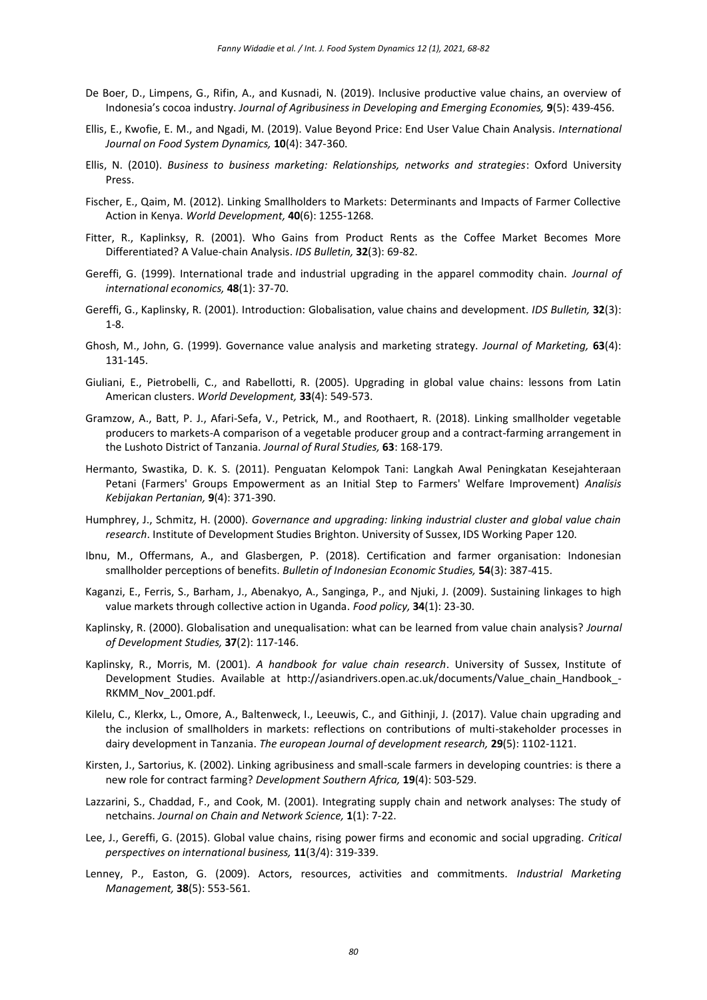- De Boer, D., Limpens, G., Rifin, A., and Kusnadi, N. (2019). Inclusive productive value chains, an overview of Indonesia's cocoa industry. *Journal of Agribusiness in Developing and Emerging Economies,* **9**(5): 439-456.
- Ellis, E., Kwofie, E. M., and Ngadi, M. (2019). Value Beyond Price: End User Value Chain Analysis. *International Journal on Food System Dynamics,* **10**(4): 347-360.
- Ellis, N. (2010). *Business to business marketing: Relationships, networks and strategies*: Oxford University **Press**
- Fischer, E., Qaim, M. (2012). Linking Smallholders to Markets: Determinants and Impacts of Farmer Collective Action in Kenya. *World Development,* **40**(6): 1255-1268.
- Fitter, R., Kaplinksy, R. (2001). Who Gains from Product Rents as the Coffee Market Becomes More Differentiated? A Value-chain Analysis. *IDS Bulletin,* **32**(3): 69-82.
- Gereffi, G. (1999). International trade and industrial upgrading in the apparel commodity chain. *Journal of international economics,* **48**(1): 37-70.
- Gereffi, G., Kaplinsky, R. (2001). Introduction: Globalisation, value chains and development. *IDS Bulletin,* **32**(3): 1-8.
- Ghosh, M., John, G. (1999). Governance value analysis and marketing strategy. *Journal of Marketing,* **63**(4): 131-145.
- Giuliani, E., Pietrobelli, C., and Rabellotti, R. (2005). Upgrading in global value chains: lessons from Latin American clusters. *World Development,* **33**(4): 549-573.
- Gramzow, A., Batt, P. J., Afari-Sefa, V., Petrick, M., and Roothaert, R. (2018). Linking smallholder vegetable producers to markets-A comparison of a vegetable producer group and a contract-farming arrangement in the Lushoto District of Tanzania. *Journal of Rural Studies,* **63**: 168-179.
- Hermanto, Swastika, D. K. S. (2011). Penguatan Kelompok Tani: Langkah Awal Peningkatan Kesejahteraan Petani (Farmers' Groups Empowerment as an Initial Step to Farmers' Welfare Improvement) *Analisis Kebijakan Pertanian,* **9**(4): 371-390.
- Humphrey, J., Schmitz, H. (2000). *Governance and upgrading: linking industrial cluster and global value chain research*. Institute of Development Studies Brighton. University of Sussex, IDS Working Paper 120.
- Ibnu, M., Offermans, A., and Glasbergen, P. (2018). Certification and farmer organisation: Indonesian smallholder perceptions of benefits. *Bulletin of Indonesian Economic Studies,* **54**(3): 387-415.
- Kaganzi, E., Ferris, S., Barham, J., Abenakyo, A., Sanginga, P., and Njuki, J. (2009). Sustaining linkages to high value markets through collective action in Uganda. *Food policy,* **34**(1): 23-30.
- Kaplinsky, R. (2000). Globalisation and unequalisation: what can be learned from value chain analysis? *Journal of Development Studies,* **37**(2): 117-146.
- Kaplinsky, R., Morris, M. (2001). *A handbook for value chain research*. University of Sussex, Institute of Development Studies. Available at http://asiandrivers.open.ac.uk/documents/Value chain Handbook -RKMM\_Nov\_2001.pdf.
- Kilelu, C., Klerkx, L., Omore, A., Baltenweck, I., Leeuwis, C., and Githinji, J. (2017). Value chain upgrading and the inclusion of smallholders in markets: reflections on contributions of multi-stakeholder processes in dairy development in Tanzania. *The european Journal of development research,* **29**(5): 1102-1121.
- Kirsten, J., Sartorius, K. (2002). Linking agribusiness and small-scale farmers in developing countries: is there a new role for contract farming? *Development Southern Africa,* **19**(4): 503-529.
- Lazzarini, S., Chaddad, F., and Cook, M. (2001). Integrating supply chain and network analyses: The study of netchains. *Journal on Chain and Network Science,* **1**(1): 7-22.
- Lee, J., Gereffi, G. (2015). Global value chains, rising power firms and economic and social upgrading. *Critical perspectives on international business,* **11**(3/4): 319-339.
- Lenney, P., Easton, G. (2009). Actors, resources, activities and commitments. *Industrial Marketing Management,* **38**(5): 553-561.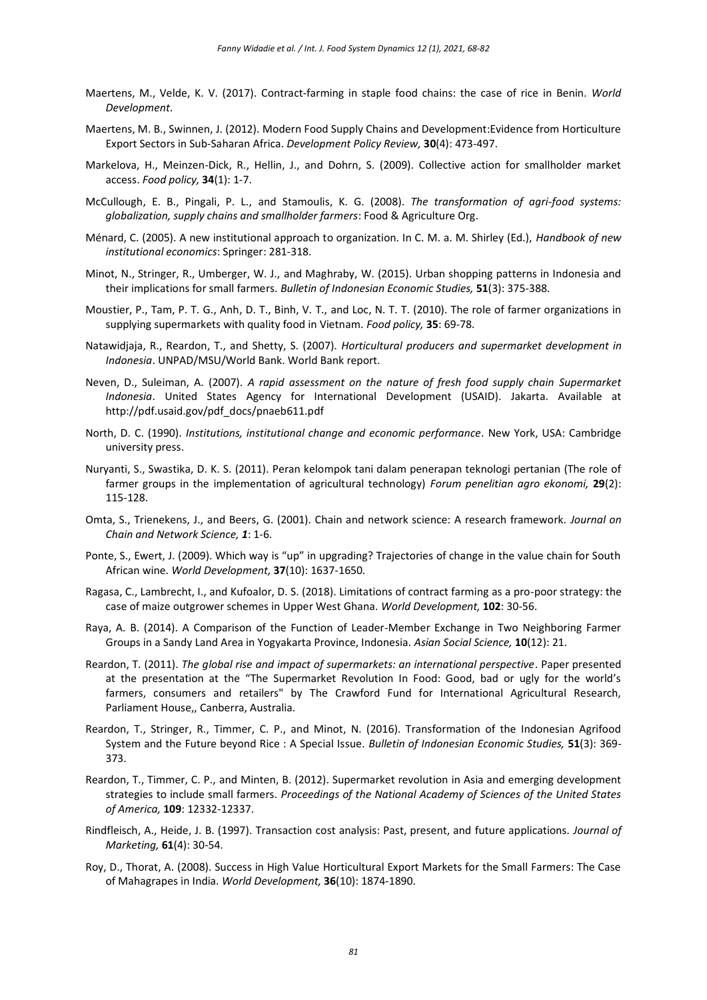- Maertens, M., Velde, K. V. (2017). Contract-farming in staple food chains: the case of rice in Benin. *World Development*.
- Maertens, M. B., Swinnen, J. (2012). Modern Food Supply Chains and Development:Evidence from Horticulture Export Sectors in Sub-Saharan Africa. *Development Policy Review,* **30**(4): 473-497.
- Markelova, H., Meinzen-Dick, R., Hellin, J., and Dohrn, S. (2009). Collective action for smallholder market access. *Food policy,* **34**(1): 1-7.
- McCullough, E. B., Pingali, P. L., and Stamoulis, K. G. (2008). *The transformation of agri-food systems: globalization, supply chains and smallholder farmers*: Food & Agriculture Org.
- Ménard, C. (2005). A new institutional approach to organization. In C. M. a. M. Shirley (Ed.), *Handbook of new institutional economics*: Springer: 281-318.
- Minot, N., Stringer, R., Umberger, W. J., and Maghraby, W. (2015). Urban shopping patterns in Indonesia and their implications for small farmers. *Bulletin of Indonesian Economic Studies,* **51**(3): 375-388.
- Moustier, P., Tam, P. T. G., Anh, D. T., Binh, V. T., and Loc, N. T. T. (2010). The role of farmer organizations in supplying supermarkets with quality food in Vietnam. *Food policy,* **35**: 69-78.
- Natawidjaja, R., Reardon, T., and Shetty, S. (2007). *Horticultural producers and supermarket development in Indonesia*. UNPAD/MSU/World Bank. World Bank report.
- Neven, D., Suleiman, A. (2007). *A rapid assessment on the nature of fresh food supply chain Supermarket Indonesia*. United States Agency for International Development (USAID). Jakarta. Available at [http://pdf.usaid.gov/pdf\\_docs/pnaeb611.pdf](http://pdf.usaid.gov/pdf_docs/pnaeb611.pdf)
- North, D. C. (1990). *Institutions, institutional change and economic performance*. New York, USA: Cambridge university press.
- Nuryanti, S., Swastika, D. K. S. (2011). Peran kelompok tani dalam penerapan teknologi pertanian (The role of farmer groups in the implementation of agricultural technology) *Forum penelitian agro ekonomi,* **29**(2): 115-128.
- Omta, S., Trienekens, J., and Beers, G. (2001). Chain and network science: A research framework. *Journal on Chain and Network Science, 1*: 1-6.
- Ponte, S., Ewert, J. (2009). Which way is "up" in upgrading? Trajectories of change in the value chain for South African wine. *World Development,* **37**(10): 1637-1650.
- Ragasa, C., Lambrecht, I., and Kufoalor, D. S. (2018). Limitations of contract farming as a pro-poor strategy: the case of maize outgrower schemes in Upper West Ghana. *World Development,* **102**: 30-56.
- Raya, A. B. (2014). A Comparison of the Function of Leader-Member Exchange in Two Neighboring Farmer Groups in a Sandy Land Area in Yogyakarta Province, Indonesia. *Asian Social Science,* **10**(12): 21.
- Reardon, T. (2011). *The global rise and impact of supermarkets: an international perspective*. Paper presented at the presentation at the "The Supermarket Revolution In Food: Good, bad or ugly for the world's farmers, consumers and retailers" by The Crawford Fund for International Agricultural Research, Parliament House,, Canberra, Australia.
- Reardon, T., Stringer, R., Timmer, C. P., and Minot, N. (2016). Transformation of the Indonesian Agrifood System and the Future beyond Rice : A Special Issue. *Bulletin of Indonesian Economic Studies,* **51**(3): 369- 373.
- Reardon, T., Timmer, C. P., and Minten, B. (2012). Supermarket revolution in Asia and emerging development strategies to include small farmers. *Proceedings of the National Academy of Sciences of the United States of America,* **109**: 12332-12337.
- Rindfleisch, A., Heide, J. B. (1997). Transaction cost analysis: Past, present, and future applications. *Journal of Marketing,* **61**(4): 30-54.
- Roy, D., Thorat, A. (2008). Success in High Value Horticultural Export Markets for the Small Farmers: The Case of Mahagrapes in India. *World Development,* **36**(10): 1874-1890.